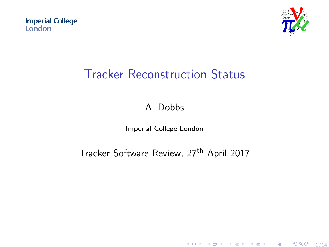<span id="page-0-0"></span>**Imperial College** London



# Tracker Reconstruction Status

### A. Dobbs

#### Imperial College London

### Tracker Software Review, 27<sup>th</sup> April 2017

K ロ K K 優 K K 활 K K 활 K (著) ( )  $990 - 1/14$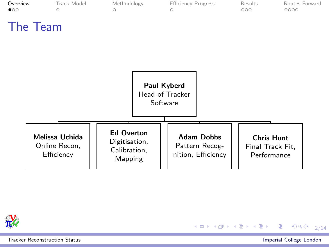<span id="page-1-0"></span>



[Tracker Reconstruction Status](#page-0-0) Imperial College London

高山

メロメ メタメ メミメ メミメー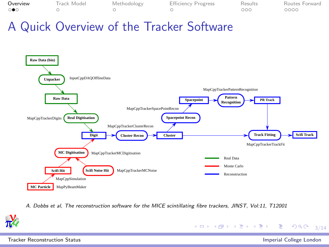| Overview        | Track Model | Methodology | <b>Efficiency Progress</b> | Results | Routes Forward |
|-----------------|-------------|-------------|----------------------------|---------|----------------|
| $\circ \bullet$ |             |             |                            | 000     | 0000           |

### A Quick Overview of the Tracker Software



A. Dobbs et al, The reconstruction software for the MICE scintillating fibre trackers, JINST, Vol:11, T12001



4 ロ → 4 @ → 4 ミ → 4 ミ → 2 → 9 9 0 → 3/14

[Tracker Reconstruction Status](#page-0-0) Imperial College London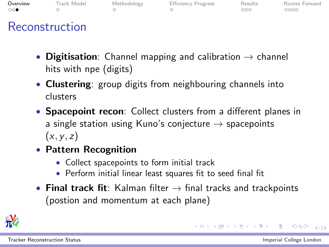| Overview            | Track Model | Methodology | <b>Efficiency Progress</b> | Results | Routes Forward |
|---------------------|-------------|-------------|----------------------------|---------|----------------|
| $\circ\circ\bullet$ |             |             |                            | noc     | 0000           |
|                     |             |             |                            |         |                |

### Reconstruction

- Digitisation: Channel mapping and calibration  $\rightarrow$  channel hits with npe (digits)
- Clustering: group digits from neighbouring channels into clusters
- Spacepoint recon: Collect clusters from a different planes in a single station using Kuno's conjecture  $\rightarrow$  spacepoints  $(x, y, z)$
- Pattern Recognition
	- Collect spacepoints to form initial track
	- Perform initial linear least squares fit to seed final fit
- Final track fit: Kalman filter  $\rightarrow$  final tracks and trackpoints (postion and momentum at each plane)



K ロ → K @ → K 할 → K 할 → N 할 → 9 Q O + 4/14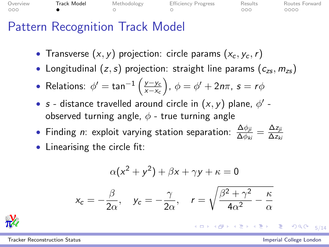<span id="page-4-0"></span>

| Overview | Track Model | Methodology | <b>Efficiency Progress</b> | Results | Routes Forward |
|----------|-------------|-------------|----------------------------|---------|----------------|
| 000      |             |             |                            | ാററ     | 0000           |

# Pattern Recognition Track Model

- Transverse  $(x, y)$  projection: circle params  $(x_c, y_c, r)$
- Longitudinal  $(z, s)$  projection: straight line params  $(c_{zs}, m_{zs})$

• Relations: 
$$
\phi' = \tan^{-1}\left(\frac{y - y_c}{x - x_c}\right), \ \phi = \phi' + 2n\pi, \ s = r\phi
$$

- s distance travelled around circle in  $(x, y)$  plane,  $\phi'$  observed turning angle,  $\phi$  - true turning angle
- Finding *n*: exploit varying station separation:  $\frac{\Delta \phi_{ji}}{\Delta \phi_{ki}} = \frac{\Delta z_{ji}}{\Delta z_{k}}$  $\Delta z_{ki}$
- Linearising the circle fit:

$$
\alpha(x^{2} + y^{2}) + \beta x + \gamma y + \kappa = 0
$$

$$
x_{c} = -\frac{\beta}{2\alpha}, \quad y_{c} = -\frac{\gamma}{2\alpha}, \quad r = \sqrt{\frac{\beta^{2} + \gamma^{2}}{4\alpha^{2}} - \frac{\kappa}{\alpha}}
$$



K ロ → K @ → K 할 → K 할 → 이 할 → 이 의 Q → 5/14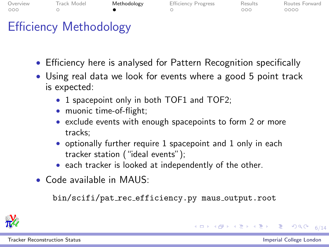<span id="page-5-0"></span>

| Overview<br>000 | Track Model                   | Methodology | <b>Efficiency Progress</b> | Results<br>റററ | Routes Forward<br>0000 |
|-----------------|-------------------------------|-------------|----------------------------|----------------|------------------------|
|                 | <b>Efficiency Methodology</b> |             |                            |                |                        |

- Efficiency here is analysed for Pattern Recognition specifically
- Using real data we look for events where a good 5 point track is expected:
	- 1 spacepoint only in both TOF1 and TOF2;
	- muonic time-of-flight;
	- exclude events with enough spacepoints to form 2 or more tracks;
	- optionally further require 1 spacepoint and 1 only in each tracker station ("ideal events");
	- each tracker is looked at independently of the other.
- Code available in MAUS:

bin/scifi/pat rec efficiency.py maus output.root



[Tracker Reconstruction Status](#page-0-0) Imperial College London

K ロ → K @ → K 建 → K 환 → 『 콘 → ⊙ Q Q → 6/14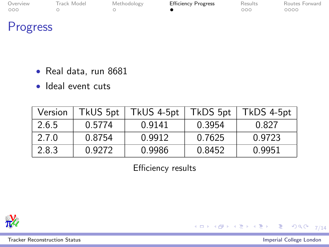<span id="page-6-0"></span>

| Overview            | Track Model | Methodology | <b>Efficiency Progress</b> | Results | Routes Forward |
|---------------------|-------------|-------------|----------------------------|---------|----------------|
| $\circ \circ \circ$ |             |             |                            | оос     | 2000           |
|                     |             |             |                            |         |                |

# Progress

- Real data, run 8681
- Ideal event cuts

| Version | TkUS 5pt | TkUS 4-5pt | TkDS 5pt | TkDS 4-5pt |
|---------|----------|------------|----------|------------|
| 2.6.5   | 0.5774   | 0.9141     | 0.3954   | 0.827      |
| 2.7.0   | 0.8754   | 0.9912     | 0.7625   | 0.9723     |
| 2.8.3   | 0.9272   | 0.9986     | 0.8452   | 0.9951     |

Efficiency results



[Tracker Reconstruction Status](#page-0-0) Imperial College London

重

イロメ イ団メ イモメ イモメー

 $999 - 7/14$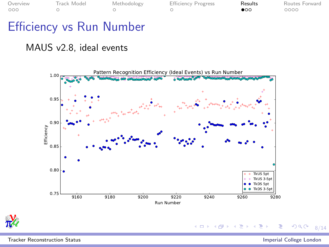<span id="page-7-0"></span>

| Overview | Track Model | Methodology | <b>Efficiency Progress</b> | Results   | Routes Forward |
|----------|-------------|-------------|----------------------------|-----------|----------------|
| 000      |             |             |                            | $\bullet$ | 0000           |

**◆ロト→伊ト** 

 $\leftarrow$ 

 $\mathbf{p}$ ∍

# Efficiency vs Run Number

#### MAUS v2.8, ideal events





[Tracker Reconstruction Status](#page-0-0) Imperial College London

Ξ

つへへ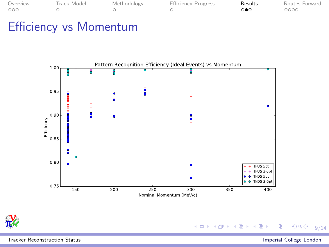| Overview | Track Model |
|----------|-------------|
| noc      |             |

[Methodology](#page-5-0) [Efficiency Progress](#page-6-0) **[Results](#page-7-0)** [Routes Forward](#page-10-0)<br>Only Results Routes Forward  $\circ$ 

# Efficiency vs Momentum





メロトメ 御 トメ ミトメ ミト Þ  $290$ 

[Tracker Reconstruction Status](#page-0-0) Imperial College London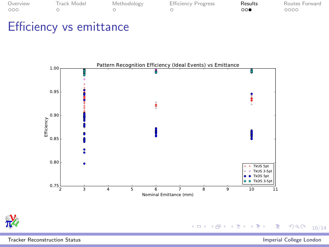| Overview | Track Model |
|----------|-------------|
| 00O      | $\bigcap$   |

[Methodology](#page-5-0) [Efficiency Progress](#page-6-0) **[Results](#page-7-0)** [Routes Forward](#page-10-0)<br>On the Routes Results Routes Results Routes Results Routes Routes Results  $\circ$ 

## Efficiency vs emittance



[Tracker Reconstruction Status](#page-0-0) Imperial College London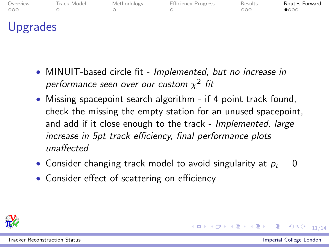<span id="page-10-0"></span>

| Overview<br>000 | Track Model | Methodology | <b>Efficiency Progress</b> | Results<br>000 | Routes Forward<br>$\bullet$ 000 |
|-----------------|-------------|-------------|----------------------------|----------------|---------------------------------|
| Upgrades        |             |             |                            |                |                                 |

- MINUIT-based circle fit Implemented, but no increase in performance seen over our custom  $\chi^2$  fit
- Missing spacepoint search algorithm if 4 point track found, check the missing the empty station for an unused spacepoint, and add if it close enough to the track - Implemented, large increase in 5pt track efficiency, final performance plots unaffected
- Consider changing track model to avoid singularity at  $p_t = 0$
- Consider effect of scattering on efficiency



11/14 → 11/14 → 11/14 → 11/14 → 11/14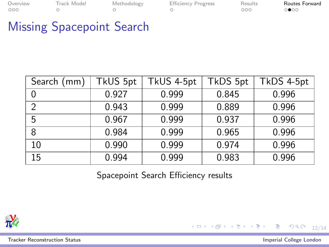| Overview | Track Model | Methodology | <b>Efficiency Progress</b> | Results | Routes Forward |
|----------|-------------|-------------|----------------------------|---------|----------------|
| 000      |             |             |                            | nnn     | ാ⊕ററ           |

# Missing Spacepoint Search

| Search<br>(mm) | TkUS 5pt | TkUS 4-5pt | TkDS 5pt | TkDS 4-5pt |
|----------------|----------|------------|----------|------------|
|                | 0.927    | 0.999      | 0.845    | 0.996      |
| 2              | 0.943    | 0.999      | 0.889    | 0.996      |
| 5              | 0.967    | 0.999      | 0.937    | 0.996      |
| 8              | 0.984    | 0.999      | 0.965    | 0.996      |
| 10             | 0.990    | 0.999      | 0.974    | 0.996      |
| 15             | 0.994    | 0.999      | 0.983    | 0.996      |

Spacepoint Search Efficiency results



[Tracker Reconstruction Status](#page-0-0) Imperial College London

 $299$ 

Þ

イロメ イ部メ イ君メ イ君メ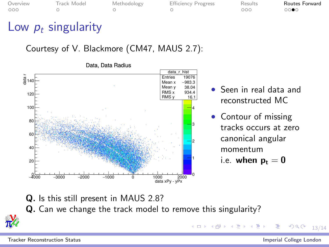| <i>verview</i> | Track Mod |  |
|----------------|-----------|--|
| 0O             | $\cap$    |  |

el [Methodology](#page-5-0) [Efficiency Progress](#page-6-0) [Results](#page-7-0) Rout<mark>es Forward</mark><br>O O OO OO⊜

# Low  $p_t$  singularity

Courtesy of V. Blackmore (CM47, MAUS 2.7):



Data, Data Radius

- Seen in real data and reconstructed MC
- Contour of missing tracks occurs at zero canonical angular momentum
	- i.e. when  $p_t = 0$

Q. Is this still present in MAUS 2.8? Q. Can we change the track model to remove this singularity?



[Tracker Reconstruction Status](#page-0-0) Imperial College London

 $290$